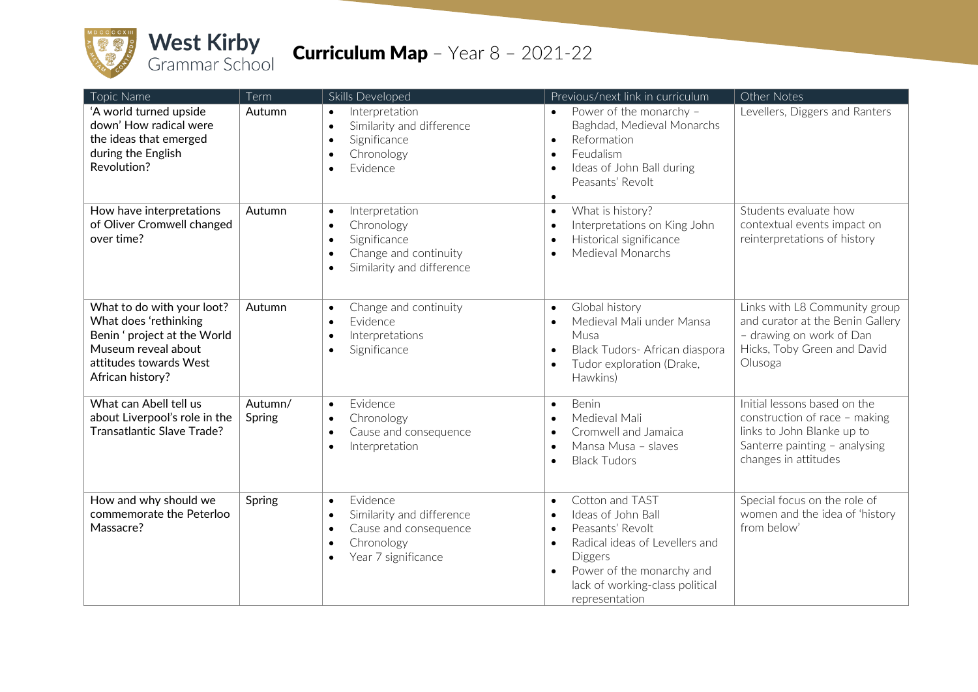

| Topic Name                                                                                                                                               | Term              | Skills Developed                                                                                                                                                     | Previous/next link in curriculum                                                                                                                                                                                                                          | Other Notes                                                                                                                                          |
|----------------------------------------------------------------------------------------------------------------------------------------------------------|-------------------|----------------------------------------------------------------------------------------------------------------------------------------------------------------------|-----------------------------------------------------------------------------------------------------------------------------------------------------------------------------------------------------------------------------------------------------------|------------------------------------------------------------------------------------------------------------------------------------------------------|
| 'A world turned upside<br>down' How radical were<br>the ideas that emerged<br>during the English<br>Revolution?                                          | Autumn            | Interpretation<br>$\bullet$<br>Similarity and difference<br>$\bullet$<br>Significance<br>$\bullet$<br>Chronology<br>$\bullet$<br>Evidence<br>$\bullet$               | Power of the monarchy -<br>$\bullet$<br>Baghdad, Medieval Monarchs<br>Reformation<br>$\bullet$<br>Feudalism<br>$\bullet$<br>Ideas of John Ball during<br>$\bullet$<br>Peasants' Revolt<br>$\bullet$                                                       | Levellers, Diggers and Ranters                                                                                                                       |
| How have interpretations<br>of Oliver Cromwell changed<br>over time?                                                                                     | Autumn            | Interpretation<br>$\bullet$<br>Chronology<br>$\bullet$<br>Significance<br>$\bullet$<br>Change and continuity<br>$\bullet$<br>Similarity and difference<br>$\bullet$  | What is history?<br>$\bullet$<br>Interpretations on King John<br>$\bullet$<br>Historical significance<br>$\bullet$<br>Medieval Monarchs<br>$\bullet$                                                                                                      | Students evaluate how<br>contextual events impact on<br>reinterpretations of history                                                                 |
| What to do with your loot?<br>What does 'rethinking<br>Benin ' project at the World<br>Museum reveal about<br>attitudes towards West<br>African history? | Autumn            | Change and continuity<br>$\bullet$<br>Evidence<br>$\bullet$<br>Interpretations<br>$\bullet$<br>Significance<br>$\bullet$                                             | Global history<br>$\bullet$<br>Medieval Mali under Mansa<br>$\bullet$<br>Musa<br>Black Tudors- African diaspora<br>$\bullet$<br>Tudor exploration (Drake,<br>$\bullet$<br>Hawkins)                                                                        | Links with L8 Community group<br>and curator at the Benin Gallery<br>- drawing on work of Dan<br>Hicks, Toby Green and David<br>Olusoga              |
| What can Abell tell us<br>about Liverpool's role in the<br>Transatlantic Slave Trade?                                                                    | Autumn/<br>Spring | Evidence<br>$\bullet$<br>Chronology<br>$\bullet$<br>Cause and consequence<br>$\bullet$<br>Interpretation<br>$\bullet$                                                | Benin<br>$\bullet$<br>Medieval Mali<br>$\bullet$<br>Cromwell and Jamaica<br>$\bullet$<br>Mansa Musa - slaves<br>$\bullet$<br><b>Black Tudors</b><br>$\bullet$                                                                                             | Initial lessons based on the<br>construction of race - making<br>links to John Blanke up to<br>Santerre painting - analysing<br>changes in attitudes |
| How and why should we<br>commemorate the Peterloo<br>Massacre?                                                                                           | Spring            | Evidence<br>$\bullet$<br>Similarity and difference<br>$\bullet$<br>Cause and consequence<br>$\bullet$<br>Chronology<br>$\bullet$<br>Year 7 significance<br>$\bullet$ | Cotton and TAST<br>$\bullet$<br>Ideas of John Ball<br>$\bullet$<br>Peasants' Revolt<br>$\bullet$<br>Radical ideas of Levellers and<br>$\bullet$<br>Diggers<br>Power of the monarchy and<br>$\bullet$<br>lack of working-class political<br>representation | Special focus on the role of<br>women and the idea of 'history<br>from below'                                                                        |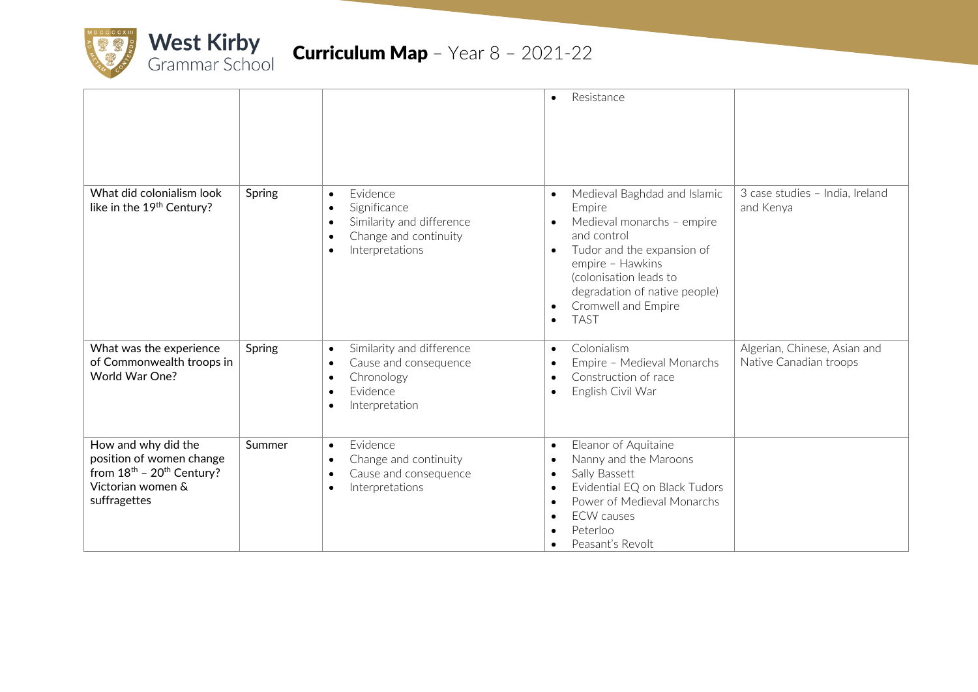

|                                                                                                                             |        |                                                                                                                                                                    | Resistance<br>$\bullet$                                                                                                                                                                                                                                                                                 |                                                        |
|-----------------------------------------------------------------------------------------------------------------------------|--------|--------------------------------------------------------------------------------------------------------------------------------------------------------------------|---------------------------------------------------------------------------------------------------------------------------------------------------------------------------------------------------------------------------------------------------------------------------------------------------------|--------------------------------------------------------|
| What did colonialism look<br>like in the 19th Century?                                                                      | Spring | Evidence<br>$\bullet$<br>Significance<br>$\bullet$<br>Similarity and difference<br>$\bullet$<br>Change and continuity<br>$\bullet$<br>Interpretations<br>$\bullet$ | Medieval Baghdad and Islamic<br>$\bullet$<br>Empire<br>Medieval monarchs - empire<br>$\bullet$<br>and control<br>Tudor and the expansion of<br>$\bullet$<br>empire - Hawkins<br>(colonisation leads to<br>degradation of native people)<br>Cromwell and Empire<br>$\bullet$<br><b>TAST</b><br>$\bullet$ | 3 case studies - India, Ireland<br>and Kenya           |
| What was the experience<br>of Commonwealth troops in<br>World War One?                                                      | Spring | Similarity and difference<br>$\bullet$<br>Cause and consequence<br>$\bullet$<br>Chronology<br>$\bullet$<br>Evidence<br>$\bullet$<br>Interpretation<br>$\bullet$    | Colonialism<br>$\bullet$<br>Empire - Medieval Monarchs<br>$\bullet$<br>Construction of race<br>$\bullet$<br>English Civil War<br>$\bullet$                                                                                                                                                              | Algerian, Chinese, Asian and<br>Native Canadian troops |
| How and why did the<br>position of women change<br>from $18^{th}$ - $20^{th}$ Century?<br>Victorian women &<br>suffragettes | Summer | Evidence<br>$\bullet$<br>Change and continuity<br>$\bullet$<br>Cause and consequence<br>$\bullet$<br>Interpretations<br>$\bullet$                                  | Eleanor of Aquitaine<br>$\bullet$<br>Nanny and the Maroons<br>$\bullet$<br>Sally Bassett<br>$\bullet$<br>Evidential EQ on Black Tudors<br>$\bullet$<br>Power of Medieval Monarchs<br>$\bullet$<br><b>ECW</b> causes<br>$\bullet$<br>Peterloo<br>$\bullet$<br>Peasant's Revolt<br>$\bullet$              |                                                        |